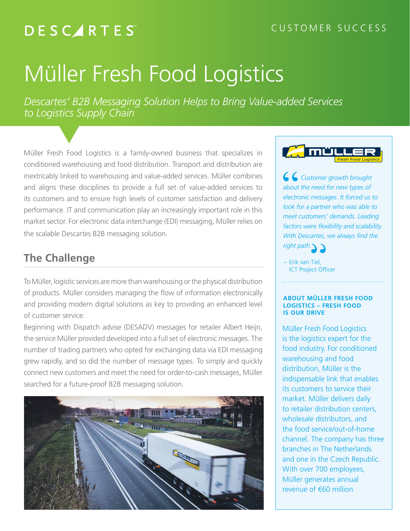## **DESCARTES**

# Müller Fresh Food Logistics

*Descartes' B2B Messaging Solution Helps to Bring Value-added Services to Logistics Supply Chain*

Müller Fresh Food Logistics is a family-owned business that specializes in conditioned warehousing and food distribution. Transport and distribution are inextricably linked to warehousing and value-added services. Müller combines and aligns these disciplines to provide a full set of value-added services to its customers and to ensure high levels of customer satisfaction and delivery performance. IT and communication play an increasingly important role in this market sector. For electronic data interchange (EDI) messaging, Müller relies on the scalable Descartes B2B messaging solution.

## **The Challenge**

To Müller, logistic services are more than warehousing or the physical distribution of products. Müller considers managing the flow of information electronically and providing modern digital solutions as key to providing an enhanced level of customer service.

Beginning with Dispatch advise (DESADV) messages for retailer Albert Heijn, the service Müller provided developed into a full set of electronic messages. The number of trading partners who opted for exchanging data via EDI messaging grew rapidly, and so did the number of message types. To simply and quickly connect new customers and meet the need for order-to-cash messages, Müller searched for a future-proof B2B messaging solution.





 *Customer growth brought about the need for new types of electronic messages. It forced us to look for a partner who was able to meet customers' demands. Leading*  factors were flexibility and scalability. *With Descartes, we always find the right path.*

– Erik van Tiel, ICT Project Officer

#### **ABOUT MÜLLER FRESH FOOD LOGISTICS – FRESH FOOD IS OUR DRIVE**

Müller Fresh Food Logistics is the logistics expert for the food industry. For conditioned warehousing and food distribution, Müller is the indispensable link that enables its customers to service their market. Müller delivers daily to retailer distribution centers, wholesale distributors, and the food service/out-of-home channel. The company has three branches in The Netherlands and one in the Czech Republic. With over 700 employees, Müller generates annual revenue of €60 million